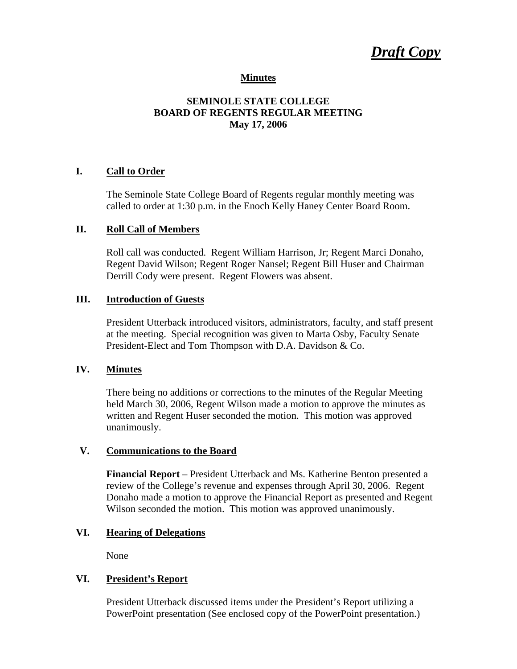*Draft Copy*

#### **Minutes**

## **SEMINOLE STATE COLLEGE BOARD OF REGENTS REGULAR MEETING May 17, 2006**

#### **I. Call to Order**

The Seminole State College Board of Regents regular monthly meeting was called to order at 1:30 p.m. in the Enoch Kelly Haney Center Board Room.

## **II. Roll Call of Members**

Roll call was conducted. Regent William Harrison, Jr; Regent Marci Donaho, Regent David Wilson; Regent Roger Nansel; Regent Bill Huser and Chairman Derrill Cody were present. Regent Flowers was absent.

#### **III. Introduction of Guests**

President Utterback introduced visitors, administrators, faculty, and staff present at the meeting. Special recognition was given to Marta Osby, Faculty Senate President-Elect and Tom Thompson with D.A. Davidson & Co.

## **IV. Minutes**

There being no additions or corrections to the minutes of the Regular Meeting held March 30, 2006, Regent Wilson made a motion to approve the minutes as written and Regent Huser seconded the motion. This motion was approved unanimously.

#### **V. Communications to the Board**

**Financial Report** – President Utterback and Ms. Katherine Benton presented a review of the College's revenue and expenses through April 30, 2006. Regent Donaho made a motion to approve the Financial Report as presented and Regent Wilson seconded the motion. This motion was approved unanimously.

#### **VI. Hearing of Delegations**

None

#### **VI. President's Report**

President Utterback discussed items under the President's Report utilizing a PowerPoint presentation (See enclosed copy of the PowerPoint presentation.)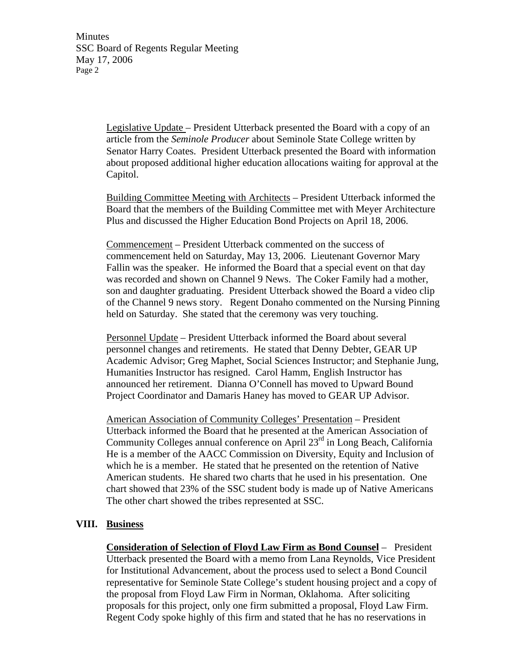> Legislative Update – President Utterback presented the Board with a copy of an article from the *Seminole Producer* about Seminole State College written by Senator Harry Coates. President Utterback presented the Board with information about proposed additional higher education allocations waiting for approval at the Capitol.

> Building Committee Meeting with Architects – President Utterback informed the Board that the members of the Building Committee met with Meyer Architecture Plus and discussed the Higher Education Bond Projects on April 18, 2006.

Commencement – President Utterback commented on the success of commencement held on Saturday, May 13, 2006. Lieutenant Governor Mary Fallin was the speaker. He informed the Board that a special event on that day was recorded and shown on Channel 9 News. The Coker Family had a mother, son and daughter graduating. President Utterback showed the Board a video clip of the Channel 9 news story. Regent Donaho commented on the Nursing Pinning held on Saturday. She stated that the ceremony was very touching.

Personnel Update – President Utterback informed the Board about several personnel changes and retirements. He stated that Denny Debter, GEAR UP Academic Advisor; Greg Maphet, Social Sciences Instructor; and Stephanie Jung, Humanities Instructor has resigned. Carol Hamm, English Instructor has announced her retirement. Dianna O'Connell has moved to Upward Bound Project Coordinator and Damaris Haney has moved to GEAR UP Advisor.

American Association of Community Colleges' Presentation – President Utterback informed the Board that he presented at the American Association of Community Colleges annual conference on April  $23<sup>rd</sup>$  in Long Beach, California He is a member of the AACC Commission on Diversity, Equity and Inclusion of which he is a member. He stated that he presented on the retention of Native American students. He shared two charts that he used in his presentation. One chart showed that 23% of the SSC student body is made up of Native Americans The other chart showed the tribes represented at SSC.

## **VIII. Business**

**Consideration of Selection of Floyd Law Firm as Bond Counsel** – President Utterback presented the Board with a memo from Lana Reynolds, Vice President for Institutional Advancement, about the process used to select a Bond Council representative for Seminole State College's student housing project and a copy of the proposal from Floyd Law Firm in Norman, Oklahoma. After soliciting proposals for this project, only one firm submitted a proposal, Floyd Law Firm. Regent Cody spoke highly of this firm and stated that he has no reservations in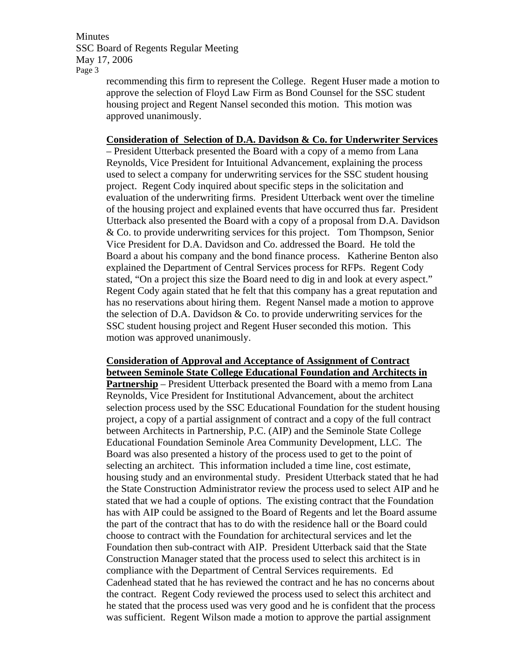> recommending this firm to represent the College. Regent Huser made a motion to approve the selection of Floyd Law Firm as Bond Counsel for the SSC student housing project and Regent Nansel seconded this motion. This motion was approved unanimously.

#### **Consideration of Selection of D.A. Davidson & Co. for Underwriter Services**

– President Utterback presented the Board with a copy of a memo from Lana Reynolds, Vice President for Intuitional Advancement, explaining the process used to select a company for underwriting services for the SSC student housing project. Regent Cody inquired about specific steps in the solicitation and evaluation of the underwriting firms. President Utterback went over the timeline of the housing project and explained events that have occurred thus far. President Utterback also presented the Board with a copy of a proposal from D.A. Davidson & Co. to provide underwriting services for this project. Tom Thompson, Senior Vice President for D.A. Davidson and Co. addressed the Board. He told the Board a about his company and the bond finance process. Katherine Benton also explained the Department of Central Services process for RFPs. Regent Cody stated, "On a project this size the Board need to dig in and look at every aspect." Regent Cody again stated that he felt that this company has a great reputation and has no reservations about hiring them. Regent Nansel made a motion to approve the selection of D.A. Davidson  $& Co.$  to provide underwriting services for the SSC student housing project and Regent Huser seconded this motion. This motion was approved unanimously.

## **Consideration of Approval and Acceptance of Assignment of Contract between Seminole State College Educational Foundation and Architects in**

**Partnership** – President Utterback presented the Board with a memo from Lana Reynolds, Vice President for Institutional Advancement, about the architect selection process used by the SSC Educational Foundation for the student housing project, a copy of a partial assignment of contract and a copy of the full contract between Architects in Partnership, P.C. (AIP) and the Seminole State College Educational Foundation Seminole Area Community Development, LLC. The Board was also presented a history of the process used to get to the point of selecting an architect. This information included a time line, cost estimate, housing study and an environmental study. President Utterback stated that he had the State Construction Administrator review the process used to select AIP and he stated that we had a couple of options. The existing contract that the Foundation has with AIP could be assigned to the Board of Regents and let the Board assume the part of the contract that has to do with the residence hall or the Board could choose to contract with the Foundation for architectural services and let the Foundation then sub-contract with AIP. President Utterback said that the State Construction Manager stated that the process used to select this architect is in compliance with the Department of Central Services requirements. Ed Cadenhead stated that he has reviewed the contract and he has no concerns about the contract. Regent Cody reviewed the process used to select this architect and he stated that the process used was very good and he is confident that the process was sufficient. Regent Wilson made a motion to approve the partial assignment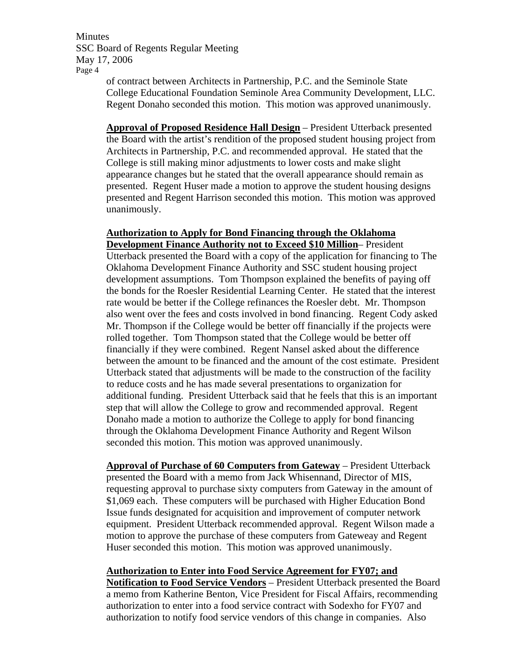of contract between Architects in Partnership, P.C. and the Seminole State College Educational Foundation Seminole Area Community Development, LLC. Regent Donaho seconded this motion. This motion was approved unanimously.

**Approval of Proposed Residence Hall Design** – President Utterback presented the Board with the artist's rendition of the proposed student housing project from Architects in Partnership, P.C. and recommended approval. He stated that the College is still making minor adjustments to lower costs and make slight appearance changes but he stated that the overall appearance should remain as presented. Regent Huser made a motion to approve the student housing designs presented and Regent Harrison seconded this motion. This motion was approved unanimously.

#### **Authorization to Apply for Bond Financing through the Oklahoma Development Finance Authority not to Exceed \$10 Million**– President

Utterback presented the Board with a copy of the application for financing to The Oklahoma Development Finance Authority and SSC student housing project development assumptions. Tom Thompson explained the benefits of paying off the bonds for the Roesler Residential Learning Center. He stated that the interest rate would be better if the College refinances the Roesler debt. Mr. Thompson also went over the fees and costs involved in bond financing. Regent Cody asked Mr. Thompson if the College would be better off financially if the projects were rolled together. Tom Thompson stated that the College would be better off financially if they were combined. Regent Nansel asked about the difference between the amount to be financed and the amount of the cost estimate. President Utterback stated that adjustments will be made to the construction of the facility to reduce costs and he has made several presentations to organization for additional funding. President Utterback said that he feels that this is an important step that will allow the College to grow and recommended approval. Regent Donaho made a motion to authorize the College to apply for bond financing through the Oklahoma Development Finance Authority and Regent Wilson seconded this motion. This motion was approved unanimously.

**Approval of Purchase of 60 Computers from Gateway** – President Utterback presented the Board with a memo from Jack Whisennand, Director of MIS, requesting approval to purchase sixty computers from Gateway in the amount of \$1,069 each. These computers will be purchased with Higher Education Bond Issue funds designated for acquisition and improvement of computer network equipment. President Utterback recommended approval. Regent Wilson made a motion to approve the purchase of these computers from Gateweay and Regent Huser seconded this motion. This motion was approved unanimously.

## **Authorization to Enter into Food Service Agreement for FY07; and**

**Notification to Food Service Vendors** – President Utterback presented the Board a memo from Katherine Benton, Vice President for Fiscal Affairs, recommending authorization to enter into a food service contract with Sodexho for FY07 and authorization to notify food service vendors of this change in companies. Also